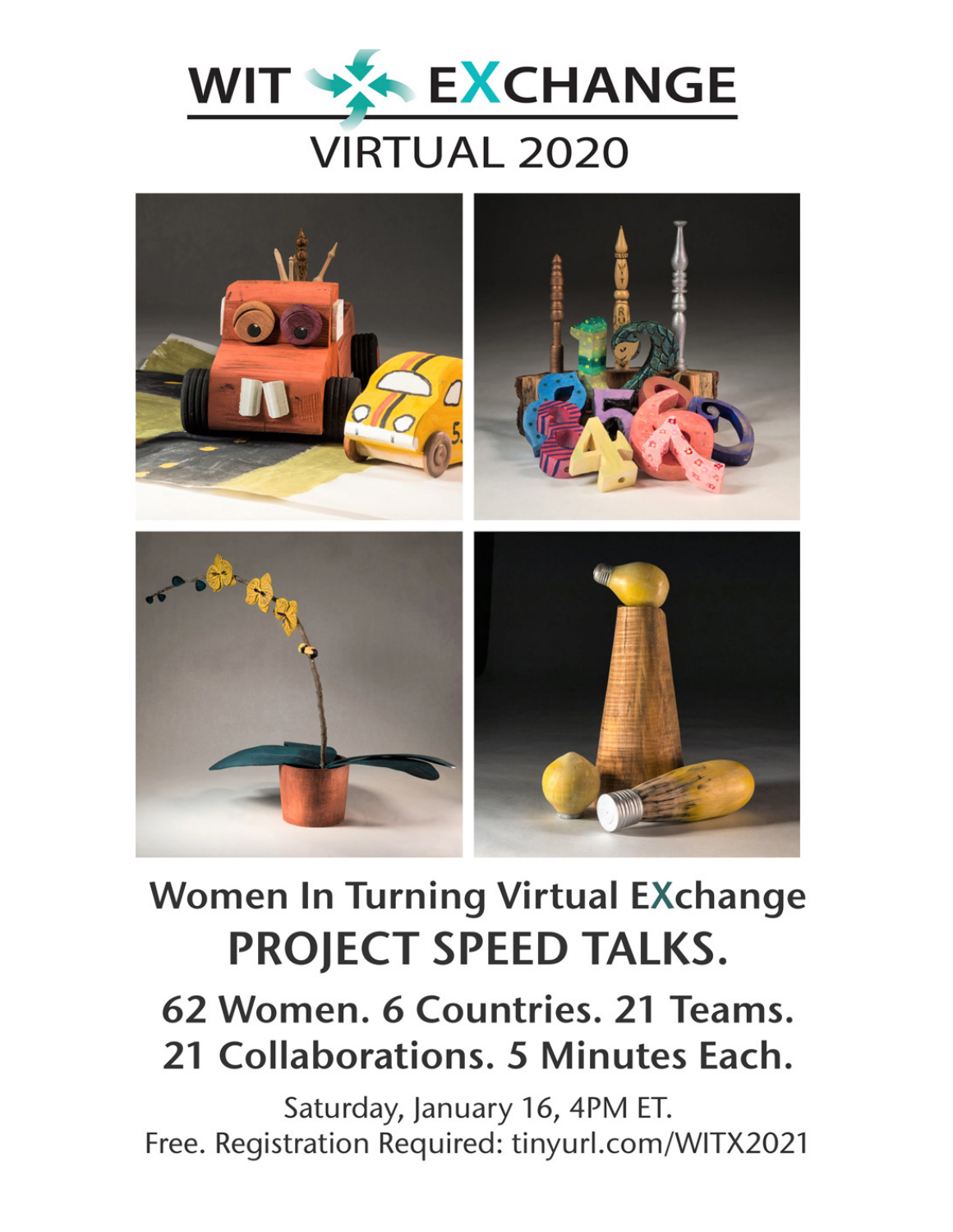



# **Women In Turning Virtual EXchange PROJECT SPEED TALKS.**

## 62 Women. 6 Countries. 21 Teams. 21 Collaborations. 5 Minutes Each.

Saturday, January 16, 4PM ET. Free. Registration Required: tinyurl.com/WITX2021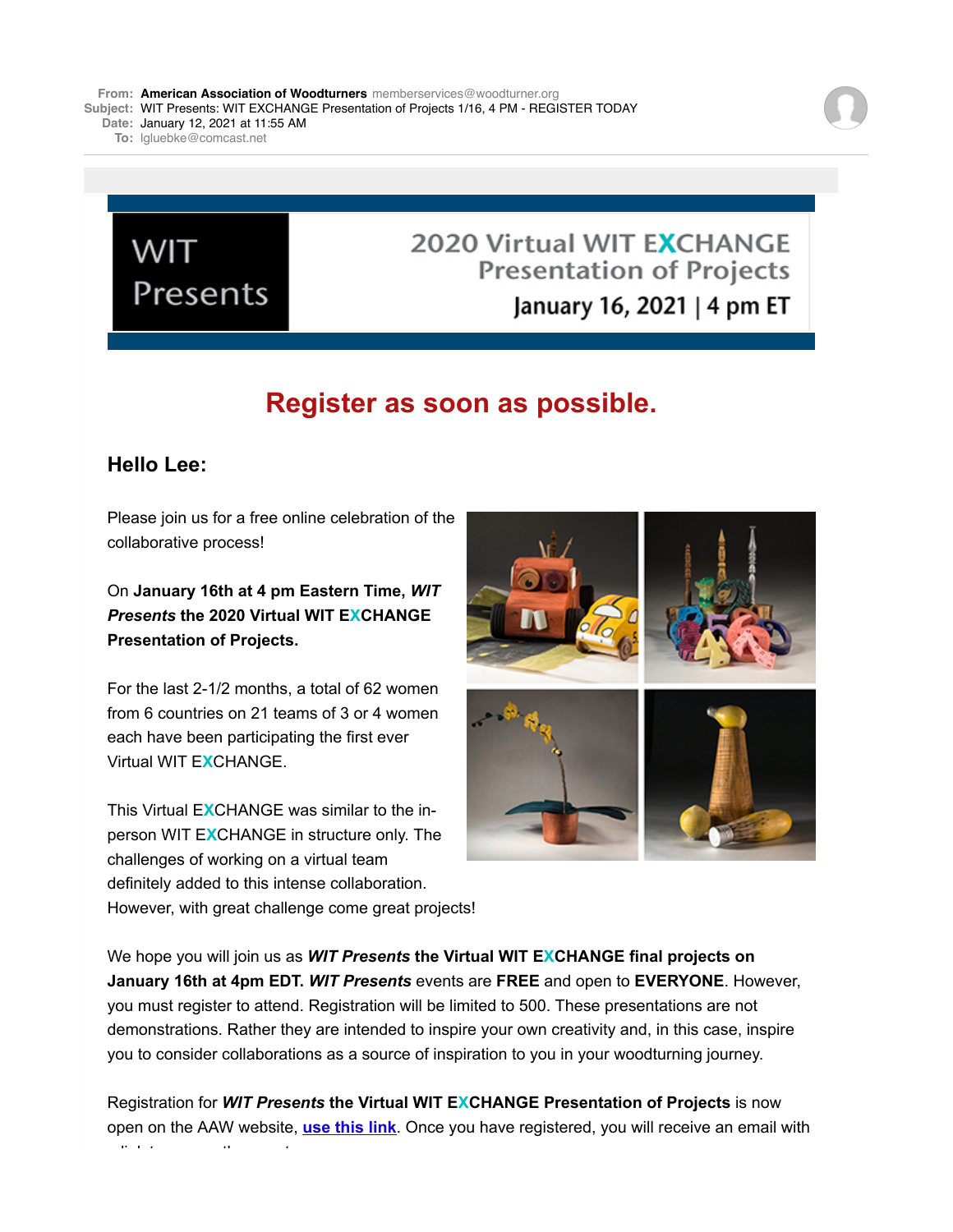**Date:** January 12, 2021 at 11:55 AM

**To:** [lgluebke@comcast.net](mailto:lgluebke@comcast.net)

## **WIT** Presents

### 2020 Virtual WIT EXCHANGE **Presentation of Projects** January 16, 2021 | 4 pm ET

## **Register as soon as possible.**

#### **Hello Lee:**

Please join us for a free online celebration of the collaborative process!

#### On **January 16th at 4 pm Eastern Time,** *WIT Presents* **the 2020 Virtual WIT EXCHANGE Presentation of Projects.**

For the last 2-1/2 months, a total of 62 women from 6 countries on 21 teams of 3 or 4 women each have been participating the first ever Virtual WIT E**X**CHANGE.

This Virtual E**X**CHANGE was similar to the inperson WIT E**X**CHANGE in structure only. The challenges of working on a virtual team definitely added to this intense collaboration. However, with great challenge come great projects!



We hope you will join us as *WIT Presents* **the Virtual WIT EXCHANGE final projects on January 16th at 4pm EDT.** *WIT Presents* events are **FREE** and open to **EVERYONE**. However, you must register to attend. Registration will be limited to 500. These presentations are not demonstrations. Rather they are intended to inspire your own creativity and, in this case, inspire you to consider collaborations as a source of inspiration to you in your woodturning journey.

Registration for *WIT Presents* **the Virtual WIT EXCHANGE Presentation of Projects** is now open on the AAW website, **[use this link](http://aaow.informz.net/z/cjUucD9taT0zMTkyNjU3JnA9MSZ1PTQwNDMyMTY5MCZsaT0yNzM5MzE0MQ/index.html)**. Once you have registered, you will receive an email with a link to access the event.